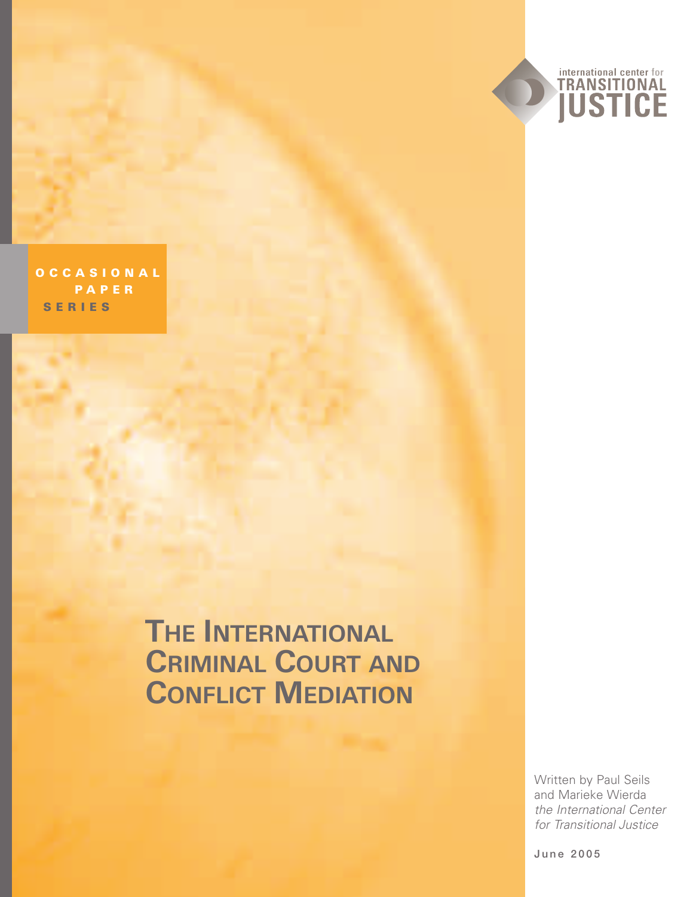

**OCCASIONAL P APER SERIES**

# **THE INTERNATIONAL CRIMINAL COURT AND CONFLICT MEDIATION**

Written by Paul Seils and Marieke Wierda *the International Center for Transitional Justice*

June 2005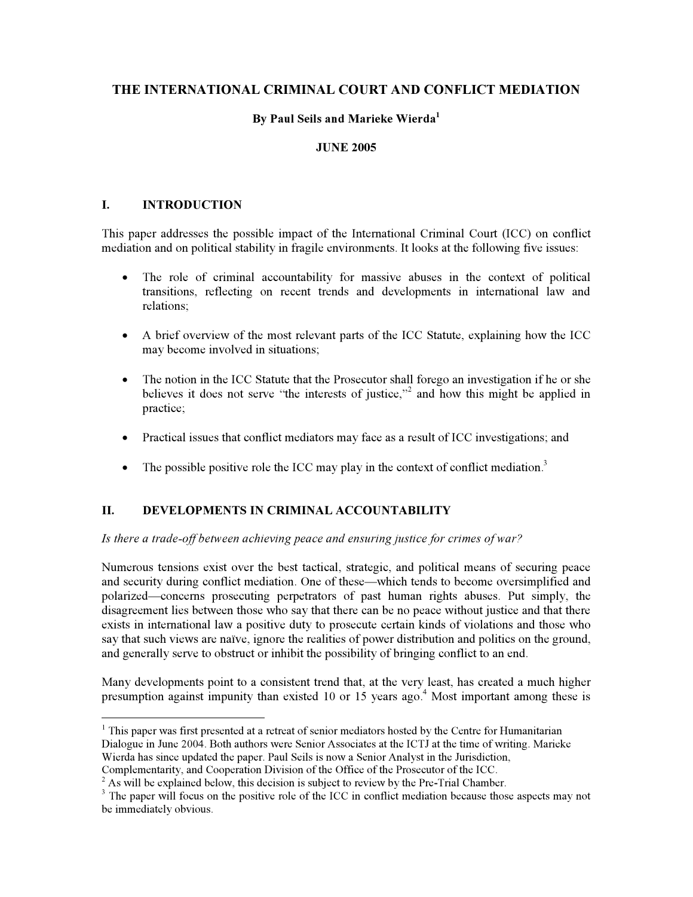# **THE INTERNATIONAL CRIMINAL COURT AND CONFLICT MEDIATION**

# **By Paul Seils and Marieke Wierda1**

# **JUNE 2005**

#### **I. INTRODUCTION**

This paper addresses the possible impact of the International Criminal Court (ICC) on conflict mediation and on political stability in fragile environments. It looks at the following five issues:

- The role of criminal accountability for massive abuses in the context of political transitions, reflecting on recent trends and developments in international law and relations;
- A brief overview of the most relevant parts of the ICC Statute, explaining how the ICC may become involved in situations;
- The notion in the ICC Statute that the Prosecutor shall forego an investigation if he or she believes it does not serve "the interests of justice,"<sup>2</sup> and how this might be applied in practice;
- Practical issues that conflict mediators may face as a result of ICC investigations; and
- $\bullet$  The possible positive role the ICC may play in the context of conflict mediation.<sup>3</sup>

# **II. DEVELOPMENTS IN CRIMINAL ACCOUNTABILITY**

*Is there a trade-off between achieving peace and ensuring justice for crimes of war?* 

Numerous tensions exist over the best tactical, strategic, and political means of securing peace and security during conflict mediation. One of these—which tends to become oversimplified and polarized—concerns prosecuting perpetrators of past human rights abuses. Put simply, the disagreement lies between those who say that there can be no peace without justice and that there exists in international law a positive duty to prosecute certain kinds of violations and those who say that such views are naïve, ignore the realities of power distribution and politics on the ground, and generally serve to obstruct or inhibit the possibility of bringing conflict to an end.

Many developments point to a consistent trend that, at the very least, has created a much higher presumption against impunity than existed 10 or 15 years ago.<sup>4</sup> Most important among these is

<sup>&</sup>lt;sup>1</sup> This paper was first presented at a retreat of senior mediators hosted by the Centre for Humanitarian Dialogue in June 2004. Both authors were Senior Associates at the ICTJ at the time of writing. Marieke Wierda has since updated the paper. Paul Seils is now a Senior Analyst in the Jurisdiction,

Complementarity, and Cooperation Division of the Office of the Prosecutor of the ICC.

<sup>&</sup>lt;sup>2</sup> As will be explained below, this decision is subject to review by the Pre-Trial Chamber.

<sup>&</sup>lt;sup>3</sup> The paper will focus on the positive role of the ICC in conflict mediation because those aspects may not be immediately obvious.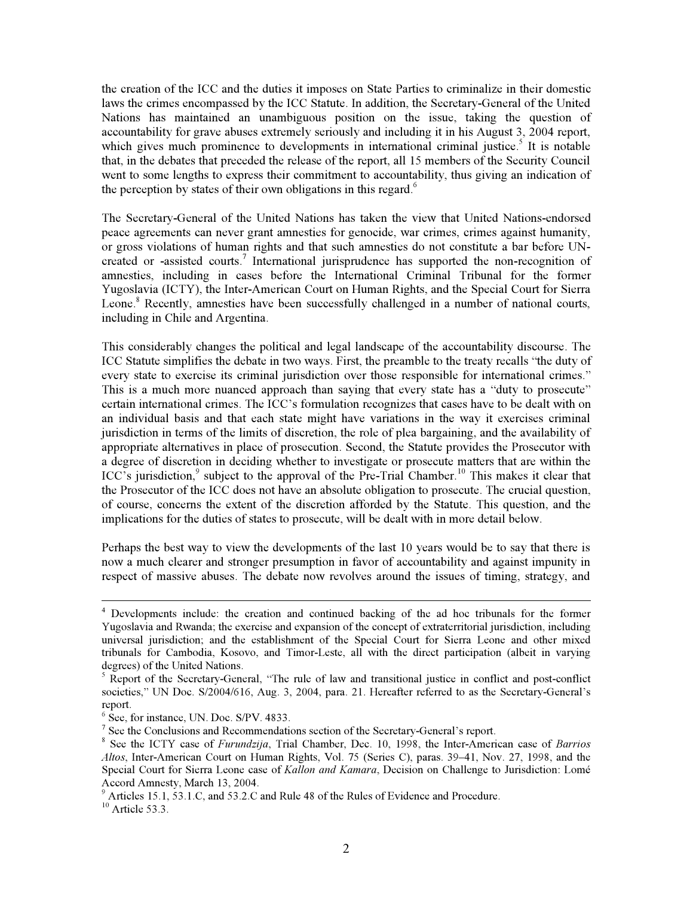the creation of the ICC and the duties it imposes on State Parties to criminalize in their domestic laws the crimes encompassed by the ICC Statute. In addition, the Secretary-General of the United Nations has maintained an unambiguous position on the issue, taking the question of accountability for grave abuses extremely seriously and including it in his August 3, 2004 report, which gives much prominence to developments in international criminal justice.<sup>5</sup> It is notable that, in the debates that preceded the release of the report, all 15 members of the Security Council went to some lengths to express their commitment to accountability, thus giving an indication of the perception by states of their own obligations in this regard.<sup>6</sup>

The Secretary-General of the United Nations has taken the view that United Nations-endorsed peace agreements can never grant amnesties for genocide, war crimes, crimes against humanity, or gross violations of human rights and that such amnesties do not constitute a bar before UNcreated or -assisted courts.<sup>7</sup> International jurisprudence has supported the non-recognition of amnesties, including in cases before the International Criminal Tribunal for the former Yugoslavia (ICTY), the Inter-American Court on Human Rights, and the Special Court for Sierra Leone.<sup>8</sup> Recently, amnesties have been successfully challenged in a number of national courts, including in Chile and Argentina.

This considerably changes the political and legal landscape of the accountability discourse. The ICC Statute simplifies the debate in two ways. First, the preamble to the treaty recalls "the duty of every state to exercise its criminal jurisdiction over those responsible for international crimes." This is a much more nuanced approach than saying that every state has a "duty to prosecute" certain international crimes. The ICC's formulation recognizes that cases have to be dealt with on an individual basis and that each state might have variations in the way it exercises criminal jurisdiction in terms of the limits of discretion, the role of plea bargaining, and the availability of appropriate alternatives in place of prosecution. Second, the Statute provides the Prosecutor with a degree of discretion in deciding whether to investigate or prosecute matters that are within the ICC's jurisdiction, <sup>9</sup> subject to the approval of the Pre-Trial Chamber.<sup>10</sup> This makes it clear that the Prosecutor of the ICC does not have an absolute obligation to prosecute. The crucial question, of course, concerns the extent of the discretion afforded by the Statute. This question, and the implications for the duties of states to prosecute, will be dealt with in more detail below.

Perhaps the best way to view the developments of the last 10 years would be to say that there is now a much clearer and stronger presumption in favor of accountability and against impunity in respect of massive abuses. The debate now revolves around the issues of timing, strategy, and

<sup>4</sup> Developments include: the creation and continued backing of the ad hoc tribunals for the former Yugoslavia and Rwanda; the exercise and expansion of the concept of extraterritorial jurisdiction, including universal jurisdiction; and the establishment of the Special Court for Sierra Leone and other mixed tribunals for Cambodia, Kosovo, and Timor-Leste, all with the direct participation (albeit in varying degrees) of the United Nations.

 $<sup>5</sup>$  Report of the Secretary-General, "The rule of law and transitional justice in conflict and post-conflict</sup> societies," UN Doc. S/2004/616, Aug. 3, 2004, para. 21. Hereafter referred to as the Secretary-General's report.

<sup>&</sup>lt;sup>6</sup> See, for instance, UN. Doc. S/PV. 4833.

<sup>&</sup>lt;sup>7</sup> See the Conclusions and Recommendations section of the Secretary-General's report.

<sup>8</sup> See the ICTY case of *Furundzija*, Trial Chamber, Dec. 10, 1998, the Inter-American case of *Barrios Altos*, Inter-American Court on Human Rights, Vol. 75 (Series C), paras. 39–41, Nov. 27, 1998, and the Special Court for Sierra Leone case of *Kallon and Kamara*, Decision on Challenge to Jurisdiction: Lomé Accord Amnesty, March 13, 2004.

<sup>&</sup>lt;sup>9</sup> Articles 15.1, 53.1.C, and 53.2.C and Rule 48 of the Rules of Evidence and Procedure.

 $10$  Article 53.3.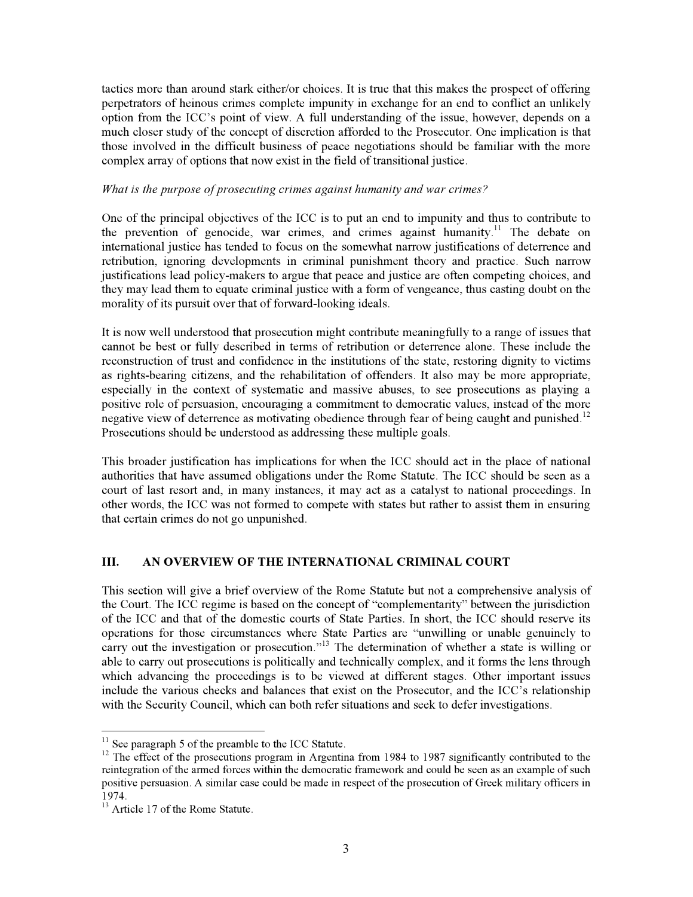tactics more than around stark either/or choices. It is true that this makes the prospect of offering perpetrators of heinous crimes complete impunity in exchange for an end to conflict an unlikely option from the ICC's point of view. A full understanding of the issue, however, depends on a much closer study of the concept of discretion afforded to the Prosecutor. One implication is that those involved in the difficult business of peace negotiations should be familiar with the more complex array of options that now exist in the field of transitional justice.

#### *What is the purpose of prosecuting crimes against humanity and war crimes?*

One of the principal objectives of the ICC is to put an end to impunity and thus to contribute to the prevention of genocide, war crimes, and crimes against humanity.<sup>11</sup> The debate on international justice has tended to focus on the somewhat narrow justifications of deterrence and retribution, ignoring developments in criminal punishment theory and practice. Such narrow justifications lead policy-makers to argue that peace and justice are often competing choices, and they may lead them to equate criminal justice with a form of vengeance, thus casting doubt on the morality of its pursuit over that of forward-looking ideals.

It is now well understood that prosecution might contribute meaningfully to a range of issues that cannot be best or fully described in terms of retribution or deterrence alone. These include the reconstruction of trust and confidence in the institutions of the state, restoring dignity to victims as rights-bearing citizens, and the rehabilitation of offenders. It also may be more appropriate, especially in the context of systematic and massive abuses, to see prosecutions as playing a positive role of persuasion, encouraging a commitment to democratic values, instead of the more negative view of deterrence as motivating obedience through fear of being caught and punished.<sup>12</sup> Prosecutions should be understood as addressing these multiple goals.

This broader justification has implications for when the ICC should act in the place of national authorities that have assumed obligations under the Rome Statute. The ICC should be seen as a court of last resort and, in many instances, it may act as a catalyst to national proceedings. In other words, the ICC was not formed to compete with states but rather to assist them in ensuring that certain crimes do not go unpunished.

# **III. AN OVERVIEW OF THE INTERNATIONAL CRIMINAL COURT**

This section will give a brief overview of the Rome Statute but not a comprehensive analysis of the Court. The ICC regime is based on the concept of "complementarity" between the jurisdiction of the ICC and that of the domestic courts of State Parties. In short, the ICC should reserve its operations for those circumstances where State Parties are "unwilling or unable genuinely to carry out the investigation or prosecution."<sup>13</sup> The determination of whether a state is willing or able to carry out prosecutions is politically and technically complex, and it forms the lens through which advancing the proceedings is to be viewed at different stages. Other important issues include the various checks and balances that exist on the Prosecutor, and the ICC's relationship with the Security Council, which can both refer situations and seek to defer investigations.

<sup>&</sup>lt;sup>11</sup> See paragraph 5 of the preamble to the ICC Statute.<br><sup>12</sup> The effect of the prosecutions program in Argentina from 1984 to 1987 significantly contributed to the reintegration of the armed forces within the democratic framework and could be seen as an example of such positive persuasion. A similar case could be made in respect of the prosecution of Greek military officers in 1974.

<sup>&</sup>lt;sup>13</sup> Article 17 of the Rome Statute.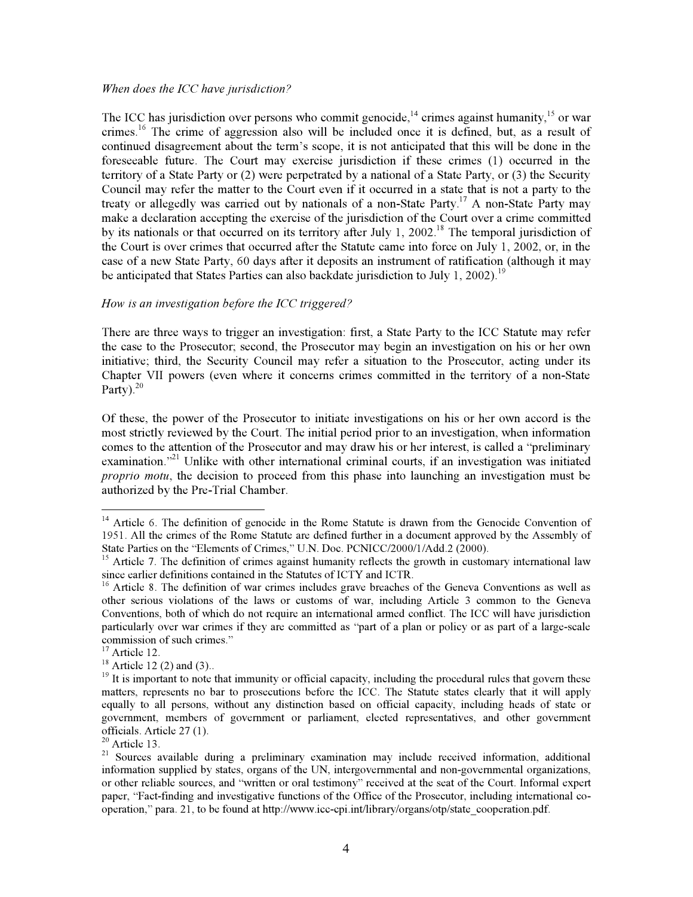#### *When does the ICC have jurisdiction?*

The ICC has jurisdiction over persons who commit genocide,<sup>14</sup> crimes against humanity,<sup>15</sup> or war crimes.<sup>16</sup> The crime of aggression also will be included once it is defined, but, as a result of continued disagreement about the term's scope, it is not anticipated that this will be done in the foreseeable future. The Court may exercise jurisdiction if these crimes (1) occurred in the territory of a State Party or (2) were perpetrated by a national of a State Party, or (3) the Security Council may refer the matter to the Court even if it occurred in a state that is not a party to the treaty or allegedly was carried out by nationals of a non-State Party.<sup>17</sup> A non-State Party may make a declaration accepting the exercise of the jurisdiction of the Court over a crime committed by its nationals or that occurred on its territory after July 1, 2002.<sup>18</sup> The temporal jurisdiction of the Court is over crimes that occurred after the Statute came into force on July 1, 2002, or, in the case of a new State Party, 60 days after it deposits an instrument of ratification (although it may be anticipated that States Parties can also backdate jurisdiction to July 1, 2002).<sup>19</sup>

#### *How is an investigation before the ICC triggered?*

There are three ways to trigger an investigation: first, a State Party to the ICC Statute may refer the case to the Prosecutor; second, the Prosecutor may begin an investigation on his or her own initiative; third, the Security Council may refer a situation to the Prosecutor, acting under its Chapter VII powers (even where it concerns crimes committed in the territory of a non-State Party). $20$ 

Of these, the power of the Prosecutor to initiate investigations on his or her own accord is the most strictly reviewed by the Court. The initial period prior to an investigation, when information comes to the attention of the Prosecutor and may draw his or her interest, is called a "preliminary examination. $12^{21}$  Unlike with other international criminal courts, if an investigation was initiated *proprio motu*, the decision to proceed from this phase into launching an investigation must be authorized by the Pre-Trial Chamber.

 $14$  Article 6. The definition of genocide in the Rome Statute is drawn from the Genocide Convention of 1951. All the crimes of the Rome Statute are defined further in a document approved by the Assembly of State Parties on the "Elements of Crimes," U.N. Doc. PCNICC/2000/1/Add.2 (2000).

 $15$  Article 7. The definition of crimes against humanity reflects the growth in customary international law since earlier definitions contained in the Statutes of ICTY and ICTR.

 $16$  Article 8. The definition of war crimes includes grave breaches of the Geneva Conventions as well as other serious violations of the laws or customs of war, including Article 3 common to the Geneva Conventions, both of which do not require an international armed conflict. The ICC will have jurisdiction particularly over war crimes if they are committed as "part of a plan or policy or as part of a large-scale commission of such crimes."<br><sup>17</sup> Article 12.<br><sup>18</sup> Article 12 (2) and (3)..

 $19$  It is important to note that immunity or official capacity, including the procedural rules that govern these matters, represents no bar to prosecutions before the ICC. The Statute states clearly that it will apply equally to all persons, without any distinction based on official capacity, including heads of state or government, members of government or parliament, elected representatives, and other government officials. Article 27 (1).<br><sup>20</sup> Article 13.

<sup>&</sup>lt;sup>21</sup> Sources available during a preliminary examination may include received information, additional information supplied by states, organs of the UN, intergovernmental and non-governmental organizations, or other reliable sources, and "written or oral testimony" received at the seat of the Court. Informal expert paper, "Fact-finding and investigative functions of the Office of the Prosecutor, including international cooperation," para. 21, to be found at http://www.icc-cpi.int/library/organs/otp/state\_cooperation.pdf.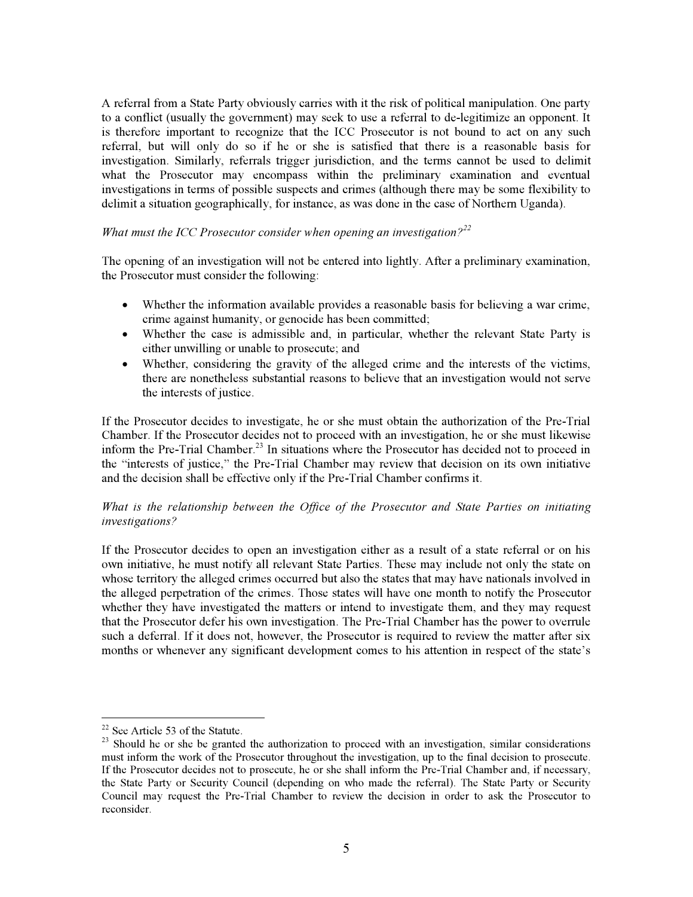A referral from a State Party obviously carries with it the risk of political manipulation. One party to a conflict (usually the government) may seek to use a referral to de-legitimize an opponent. It is therefore important to recognize that the ICC Prosecutor is not bound to act on any such referral, but will only do so if he or she is satisfied that there is a reasonable basis for investigation. Similarly, referrals trigger jurisdiction, and the terms cannot be used to delimit what the Prosecutor may encompass within the preliminary examination and eventual investigations in terms of possible suspects and crimes (although there may be some flexibility to delimit a situation geographically, for instance, as was done in the case of Northern Uganda).

# *What must the ICC Prosecutor consider when opening an investigation?<sup>22</sup>*

The opening of an investigation will not be entered into lightly. After a preliminary examination, the Prosecutor must consider the following:

- Whether the information available provides a reasonable basis for believing a war crime, crime against humanity, or genocide has been committed;
- Whether the case is admissible and, in particular, whether the relevant State Party is either unwilling or unable to prosecute; and
- Whether, considering the gravity of the alleged crime and the interests of the victims, there are nonetheless substantial reasons to believe that an investigation would not serve the interests of justice.

If the Prosecutor decides to investigate, he or she must obtain the authorization of the Pre-Trial Chamber. If the Prosecutor decides not to proceed with an investigation, he or she must likewise inform the Pre-Trial Chamber.<sup>23</sup> In situations where the Prosecutor has decided not to proceed in the "interests of justice," the Pre-Trial Chamber may review that decision on its own initiative and the decision shall be effective only if the Pre-Trial Chamber confirms it.

# *What is the relationship between the Office of the Prosecutor and State Parties on initiating investigations?*

If the Prosecutor decides to open an investigation either as a result of a state referral or on his own initiative, he must notify all relevant State Parties. These may include not only the state on whose territory the alleged crimes occurred but also the states that may have nationals involved in the alleged perpetration of the crimes. Those states will have one month to notify the Prosecutor whether they have investigated the matters or intend to investigate them, and they may request that the Prosecutor defer his own investigation. The Pre-Trial Chamber has the power to overrule such a deferral. If it does not, however, the Prosecutor is required to review the matter after six months or whenever any significant development comes to his attention in respect of the state's

<sup>&</sup>lt;sup>22</sup> See Article 53 of the Statute.<br><sup>23</sup> Should he or she be granted the authorization to proceed with an investigation, similar considerations must inform the work of the Prosecutor throughout the investigation, up to the final decision to prosecute. If the Prosecutor decides not to prosecute, he or she shall inform the Pre-Trial Chamber and, if necessary, the State Party or Security Council (depending on who made the referral). The State Party or Security Council may request the Pre-Trial Chamber to review the decision in order to ask the Prosecutor to reconsider.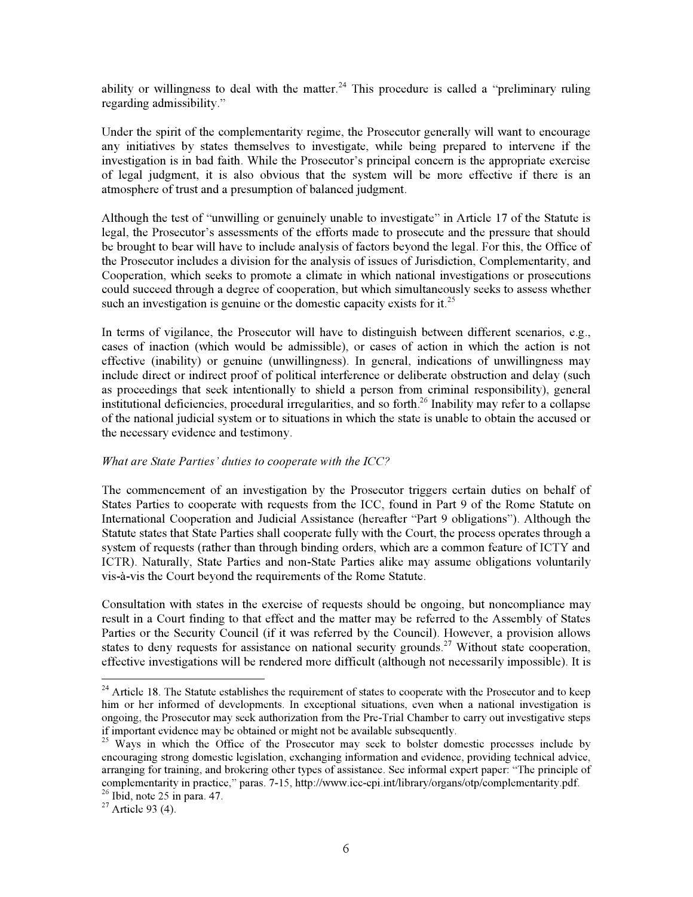ability or willingness to deal with the matter.<sup>24</sup> This procedure is called a "preliminary ruling" regarding admissibility."

Under the spirit of the complementarity regime, the Prosecutor generally will want to encourage any initiatives by states themselves to investigate, while being prepared to intervene if the investigation is in bad faith. While the Prosecutor's principal concern is the appropriate exercise of legal judgment, it is also obvious that the system will be more effective if there is an atmosphere of trust and a presumption of balanced judgment.

Although the test of "unwilling or genuinely unable to investigate" in Article 17 of the Statute is legal, the Prosecutor's assessments of the efforts made to prosecute and the pressure that should be brought to bear will have to include analysis of factors beyond the legal. For this, the Office of the Prosecutor includes a division for the analysis of issues of Jurisdiction, Complementarity, and Cooperation, which seeks to promote a climate in which national investigations or prosecutions could succeed through a degree of cooperation, but which simultaneously seeks to assess whether such an investigation is genuine or the domestic capacity exists for it.<sup>25</sup>

In terms of vigilance, the Prosecutor will have to distinguish between different scenarios, e.g., cases of inaction (which would be admissible), or cases of action in which the action is not effective (inability) or genuine (unwillingness). In general, indications of unwillingness may include direct or indirect proof of political interference or deliberate obstruction and delay (such as proceedings that seek intentionally to shield a person from criminal responsibility), general institutional deficiencies, procedural irregularities, and so forth.<sup>26</sup> Inability may refer to a collapse of the national judicial system or to situations in which the state is unable to obtain the accused or the necessary evidence and testimony.

#### *What are State Parties' duties to cooperate with the ICC?*

The commencement of an investigation by the Prosecutor triggers certain duties on behalf of States Parties to cooperate with requests from the ICC, found in Part 9 of the Rome Statute on International Cooperation and Judicial Assistance (hereafter "Part 9 obligations"). Although the Statute states that State Parties shall cooperate fully with the Court, the process operates through a system of requests (rather than through binding orders, which are a common feature of ICTY and ICTR). Naturally, State Parties and non-State Parties alike may assume obligations voluntarily vis-à-vis the Court beyond the requirements of the Rome Statute.

Consultation with states in the exercise of requests should be ongoing, but noncompliance may result in a Court finding to that effect and the matter may be referred to the Assembly of States Parties or the Security Council (if it was referred by the Council). However, a provision allows states to deny requests for assistance on national security grounds.<sup>27</sup> Without state cooperation, effective investigations will be rendered more difficult (although not necessarily impossible). It is

 $^{24}$  Article 18. The Statute establishes the requirement of states to cooperate with the Prosecutor and to keep him or her informed of developments. In exceptional situations, even when a national investigation is ongoing, the Prosecutor may seek authorization from the Pre-Trial Chamber to carry out investigative steps if important evidence may be obtained or might not be available subsequently.

<sup>&</sup>lt;sup>25</sup> Ways in which the Office of the Prosecutor may seek to bolster domestic processes include by encouraging strong domestic legislation, exchanging information and evidence, providing technical advice, arranging for training, and brokering other types of assistance. See informal expert paper: "The principle of complementarity in practice," paras. 7-15, http://www.icc-cpi.int/library/organs/otp/complementarity.pdf.

<sup>&</sup>lt;sup>26</sup> Ibid, note 25 in para. 47.<br><sup>27</sup> Article 93 (4).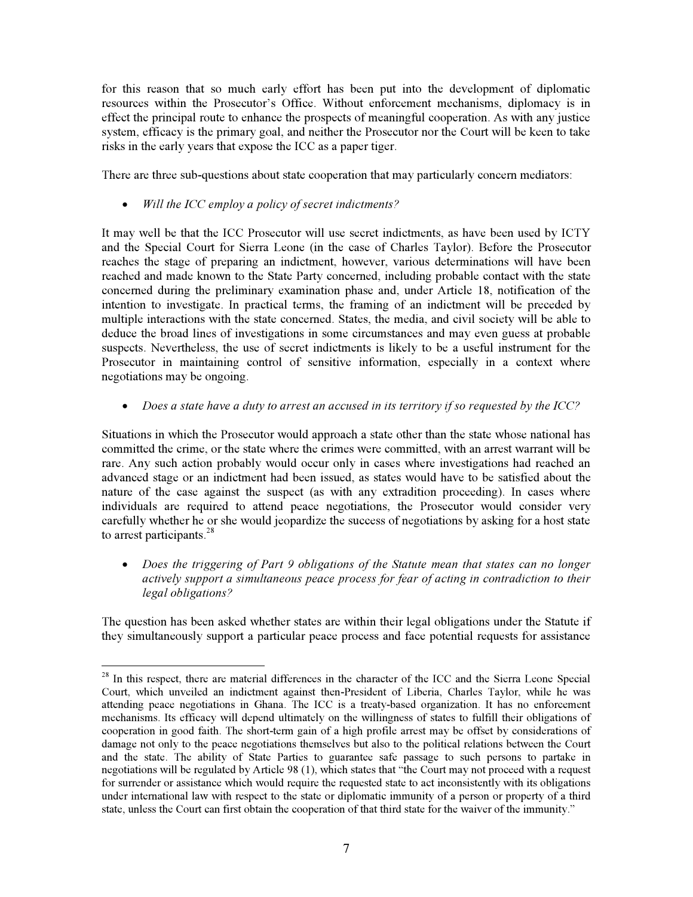for this reason that so much early effort has been put into the development of diplomatic resources within the Prosecutor's Office. Without enforcement mechanisms, diplomacy is in effect the principal route to enhance the prospects of meaningful cooperation. As with any justice system, efficacy is the primary goal, and neither the Prosecutor nor the Court will be keen to take risks in the early years that expose the ICC as a paper tiger.

There are three sub-questions about state cooperation that may particularly concern mediators:

x *Will the ICC employ a policy of secret indictments?* 

It may well be that the ICC Prosecutor will use secret indictments, as have been used by ICTY and the Special Court for Sierra Leone (in the case of Charles Taylor). Before the Prosecutor reaches the stage of preparing an indictment, however, various determinations will have been reached and made known to the State Party concerned, including probable contact with the state concerned during the preliminary examination phase and, under Article 18, notification of the intention to investigate. In practical terms, the framing of an indictment will be preceded by multiple interactions with the state concerned. States, the media, and civil society will be able to deduce the broad lines of investigations in some circumstances and may even guess at probable suspects. Nevertheless, the use of secret indictments is likely to be a useful instrument for the Prosecutor in maintaining control of sensitive information, especially in a context where negotiations may be ongoing.

x *Does a state have a duty to arrest an accused in its territory if so requested by the ICC?* 

Situations in which the Prosecutor would approach a state other than the state whose national has committed the crime, or the state where the crimes were committed, with an arrest warrant will be rare. Any such action probably would occur only in cases where investigations had reached an advanced stage or an indictment had been issued, as states would have to be satisfied about the nature of the case against the suspect (as with any extradition proceeding). In cases where individuals are required to attend peace negotiations, the Prosecutor would consider very carefully whether he or she would jeopardize the success of negotiations by asking for a host state to arrest participants. $28$ 

x *Does the triggering of Part 9 obligations of the Statute mean that states can no longer actively support a simultaneous peace process for fear of acting in contradiction to their legal obligations?* 

The question has been asked whether states are within their legal obligations under the Statute if they simultaneously support a particular peace process and face potential requests for assistance

<sup>&</sup>lt;sup>28</sup> In this respect, there are material differences in the character of the ICC and the Sierra Leone Special Court, which unveiled an indictment against then-President of Liberia, Charles Taylor, while he was attending peace negotiations in Ghana. The ICC is a treaty-based organization. It has no enforcement mechanisms. Its efficacy will depend ultimately on the willingness of states to fulfill their obligations of cooperation in good faith. The short-term gain of a high profile arrest may be offset by considerations of damage not only to the peace negotiations themselves but also to the political relations between the Court and the state. The ability of State Parties to guarantee safe passage to such persons to partake in negotiations will be regulated by Article 98 (1), which states that "the Court may not proceed with a request for surrender or assistance which would require the requested state to act inconsistently with its obligations under international law with respect to the state or diplomatic immunity of a person or property of a third state, unless the Court can first obtain the cooperation of that third state for the waiver of the immunity."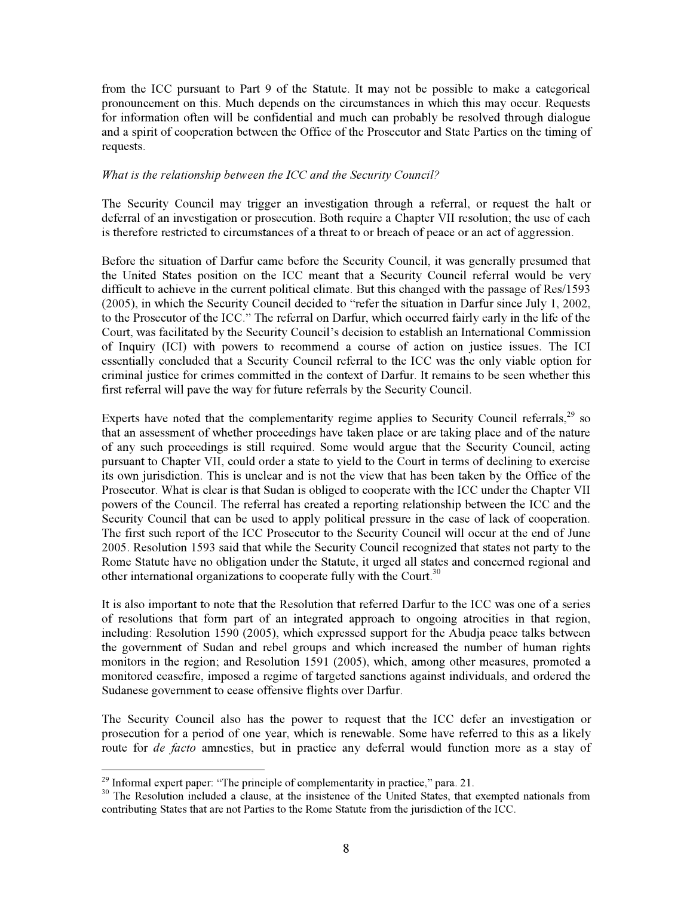from the ICC pursuant to Part 9 of the Statute. It may not be possible to make a categorical pronouncement on this. Much depends on the circumstances in which this may occur. Requests for information often will be confidential and much can probably be resolved through dialogue and a spirit of cooperation between the Office of the Prosecutor and State Parties on the timing of requests.

#### *What is the relationship between the ICC and the Security Council?*

The Security Council may trigger an investigation through a referral, or request the halt or deferral of an investigation or prosecution. Both require a Chapter VII resolution; the use of each is therefore restricted to circumstances of a threat to or breach of peace or an act of aggression.

Before the situation of Darfur came before the Security Council, it was generally presumed that the United States position on the ICC meant that a Security Council referral would be very difficult to achieve in the current political climate. But this changed with the passage of Res/1593 (2005), in which the Security Council decided to "refer the situation in Darfur since July 1, 2002, to the Prosecutor of the ICC." The referral on Darfur, which occurred fairly early in the life of the Court, was facilitated by the Security Council's decision to establish an International Commission of Inquiry (ICI) with powers to recommend a course of action on justice issues. The ICI essentially concluded that a Security Council referral to the ICC was the only viable option for criminal justice for crimes committed in the context of Darfur. It remains to be seen whether this first referral will pave the way for future referrals by the Security Council.

Experts have noted that the complementarity regime applies to Security Council referrals,  $29$  so that an assessment of whether proceedings have taken place or are taking place and of the nature of any such proceedings is still required. Some would argue that the Security Council, acting pursuant to Chapter VII, could order a state to yield to the Court in terms of declining to exercise its own jurisdiction. This is unclear and is not the view that has been taken by the Office of the Prosecutor. What is clear is that Sudan is obliged to cooperate with the ICC under the Chapter VII powers of the Council. The referral has created a reporting relationship between the ICC and the Security Council that can be used to apply political pressure in the case of lack of cooperation. The first such report of the ICC Prosecutor to the Security Council will occur at the end of June 2005. Resolution 1593 said that while the Security Council recognized that states not party to the Rome Statute have no obligation under the Statute, it urged all states and concerned regional and other international organizations to cooperate fully with the Court.<sup>30</sup>

It is also important to note that the Resolution that referred Darfur to the ICC was one of a series of resolutions that form part of an integrated approach to ongoing atrocities in that region, including: Resolution 1590 (2005), which expressed support for the Abudja peace talks between the government of Sudan and rebel groups and which increased the number of human rights monitors in the region; and Resolution 1591 (2005), which, among other measures, promoted a monitored ceasefire, imposed a regime of targeted sanctions against individuals, and ordered the Sudanese government to cease offensive flights over Darfur.

The Security Council also has the power to request that the ICC defer an investigation or prosecution for a period of one year, which is renewable. Some have referred to this as a likely route for *de facto* amnesties, but in practice any deferral would function more as a stay of

<sup>&</sup>lt;sup>29</sup> Informal expert paper: "The principle of complementarity in practice," para. 21.<br><sup>30</sup> The Resolution included a clause, at the insistence of the United States, that exempted nationals from contributing States that are not Parties to the Rome Statute from the jurisdiction of the ICC.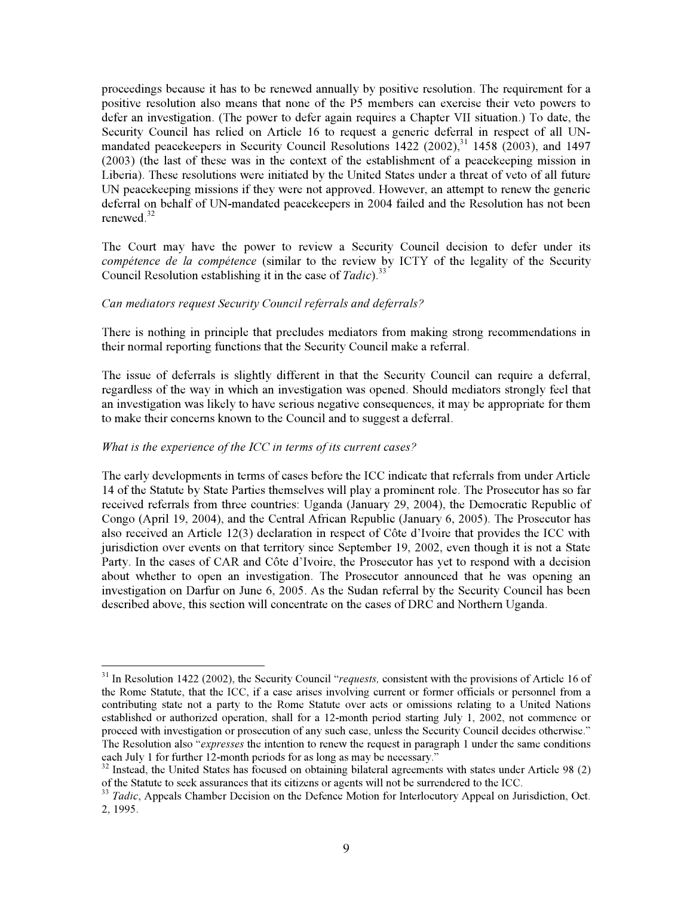proceedings because it has to be renewed annually by positive resolution. The requirement for a positive resolution also means that none of the P5 members can exercise their veto powers to defer an investigation. (The power to defer again requires a Chapter VII situation.) To date, the Security Council has relied on Article 16 to request a generic deferral in respect of all UNmandated peacekeepers in Security Council Resolutions  $1422$  (2002),<sup>31</sup> 1458 (2003), and 1497 (2003) (the last of these was in the context of the establishment of a peacekeeping mission in Liberia). These resolutions were initiated by the United States under a threat of veto of all future UN peacekeeping missions if they were not approved. However, an attempt to renew the generic deferral on behalf of UN-mandated peacekeepers in 2004 failed and the Resolution has not been renewed.<sup>32</sup>

The Court may have the power to review a Security Council decision to defer under its *compétence de la compétence* (similar to the review by ICTY of the legality of the Security Council Resolution establishing it in the case of *Tadic*).<sup>33</sup>

#### *Can mediators request Security Council referrals and deferrals?*

There is nothing in principle that precludes mediators from making strong recommendations in their normal reporting functions that the Security Council make a referral.

The issue of deferrals is slightly different in that the Security Council can require a deferral, regardless of the way in which an investigation was opened. Should mediators strongly feel that an investigation was likely to have serious negative consequences, it may be appropriate for them to make their concerns known to the Council and to suggest a deferral.

#### *What is the experience of the ICC in terms of its current cases?*

The early developments in terms of cases before the ICC indicate that referrals from under Article 14 of the Statute by State Parties themselves will play a prominent role. The Prosecutor has so far received referrals from three countries: Uganda (January 29, 2004), the Democratic Republic of Congo (April 19, 2004), and the Central African Republic (January 6, 2005). The Prosecutor has also received an Article 12(3) declaration in respect of Côte d'Ivoire that provides the ICC with jurisdiction over events on that territory since September 19, 2002, even though it is not a State Party. In the cases of CAR and Côte d'Ivoire, the Prosecutor has yet to respond with a decision about whether to open an investigation. The Prosecutor announced that he was opening an investigation on Darfur on June 6, 2005. As the Sudan referral by the Security Council has been described above, this section will concentrate on the cases of DRC and Northern Uganda.

<sup>&</sup>lt;sup>31</sup> In Resolution 1422 (2002), the Security Council "*requests*, consistent with the provisions of Article 16 of the Rome Statute, that the ICC, if a case arises involving current or former officials or personnel from a contributing state not a party to the Rome Statute over acts or omissions relating to a United Nations established or authorized operation, shall for a 12-month period starting July 1, 2002, not commence or proceed with investigation or prosecution of any such case, unless the Security Council decides otherwise." The Resolution also "*expresses* the intention to renew the request in paragraph 1 under the same conditions each July 1 for further 12-month periods for as long as may be necessary."

 $32$  Instead, the United States has focused on obtaining bilateral agreements with states under Article 98 (2) of the Statute to seek assurances that its citizens or agents will not be surrendered to the ICC.

<sup>&</sup>lt;sup>33</sup> *Tadic*, Appeals Chamber Decision on the Defence Motion for Interlocutory Appeal on Jurisdiction, Oct. 2, 1995.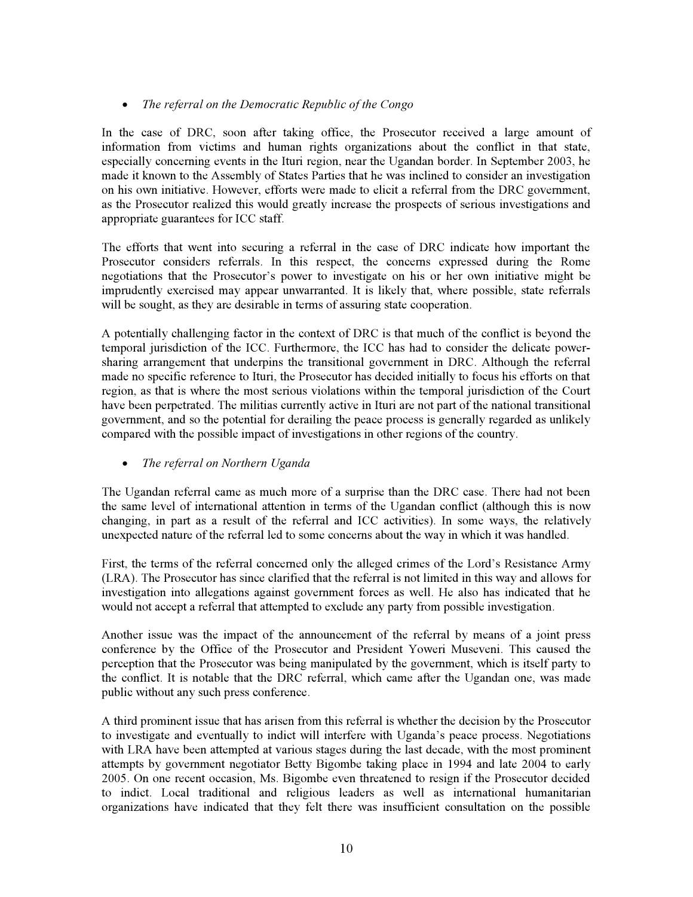# x *The referral on the Democratic Republic of the Congo*

In the case of DRC, soon after taking office, the Prosecutor received a large amount of information from victims and human rights organizations about the conflict in that state, especially concerning events in the Ituri region, near the Ugandan border. In September 2003, he made it known to the Assembly of States Parties that he was inclined to consider an investigation on his own initiative. However, efforts were made to elicit a referral from the DRC government, as the Prosecutor realized this would greatly increase the prospects of serious investigations and appropriate guarantees for ICC staff.

The efforts that went into securing a referral in the case of DRC indicate how important the Prosecutor considers referrals. In this respect, the concerns expressed during the Rome negotiations that the Prosecutor's power to investigate on his or her own initiative might be imprudently exercised may appear unwarranted. It is likely that, where possible, state referrals will be sought, as they are desirable in terms of assuring state cooperation.

A potentially challenging factor in the context of DRC is that much of the conflict is beyond the temporal jurisdiction of the ICC. Furthermore, the ICC has had to consider the delicate powersharing arrangement that underpins the transitional government in DRC. Although the referral made no specific reference to Ituri, the Prosecutor has decided initially to focus his efforts on that region, as that is where the most serious violations within the temporal jurisdiction of the Court have been perpetrated. The militias currently active in Ituri are not part of the national transitional government, and so the potential for derailing the peace process is generally regarded as unlikely compared with the possible impact of investigations in other regions of the country.

# x *The referral on Northern Uganda*

The Ugandan referral came as much more of a surprise than the DRC case. There had not been the same level of international attention in terms of the Ugandan conflict (although this is now changing, in part as a result of the referral and ICC activities). In some ways, the relatively unexpected nature of the referral led to some concerns about the way in which it was handled.

First, the terms of the referral concerned only the alleged crimes of the Lord's Resistance Army (LRA). The Prosecutor has since clarified that the referral is not limited in this way and allows for investigation into allegations against government forces as well. He also has indicated that he would not accept a referral that attempted to exclude any party from possible investigation.

Another issue was the impact of the announcement of the referral by means of a joint press conference by the Office of the Prosecutor and President Yoweri Museveni. This caused the perception that the Prosecutor was being manipulated by the government, which is itself party to the conflict. It is notable that the DRC referral, which came after the Ugandan one, was made public without any such press conference.

A third prominent issue that has arisen from this referral is whether the decision by the Prosecutor to investigate and eventually to indict will interfere with Uganda's peace process. Negotiations with LRA have been attempted at various stages during the last decade, with the most prominent attempts by government negotiator Betty Bigombe taking place in 1994 and late 2004 to early 2005. On one recent occasion, Ms. Bigombe even threatened to resign if the Prosecutor decided to indict. Local traditional and religious leaders as well as international humanitarian organizations have indicated that they felt there was insufficient consultation on the possible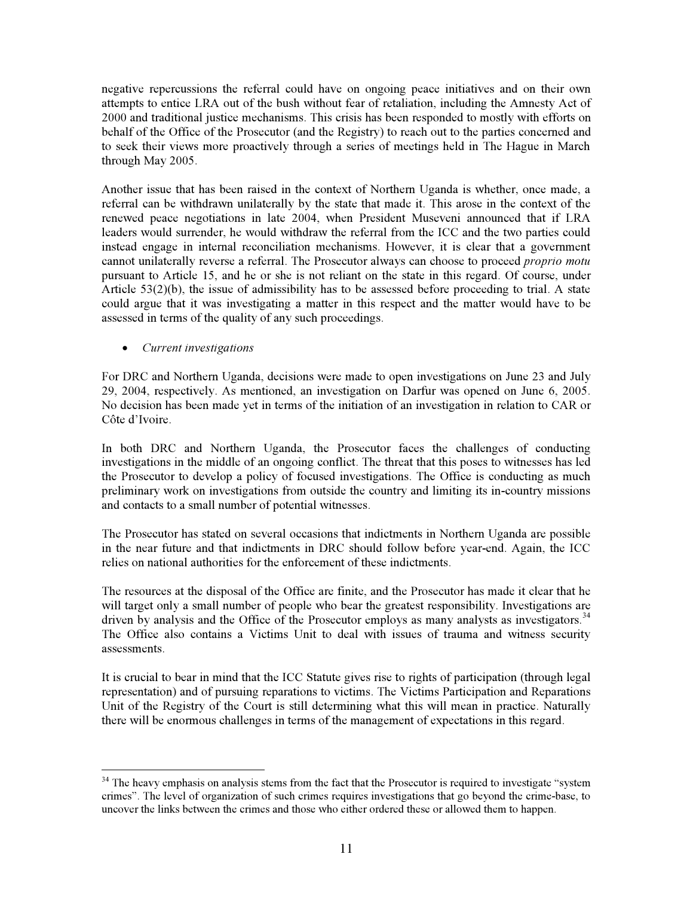negative repercussions the referral could have on ongoing peace initiatives and on their own attempts to entice LRA out of the bush without fear of retaliation, including the Amnesty Act of 2000 and traditional justice mechanisms. This crisis has been responded to mostly with efforts on behalf of the Office of the Prosecutor (and the Registry) to reach out to the parties concerned and to seek their views more proactively through a series of meetings held in The Hague in March through May 2005.

Another issue that has been raised in the context of Northern Uganda is whether, once made, a referral can be withdrawn unilaterally by the state that made it. This arose in the context of the renewed peace negotiations in late 2004, when President Museveni announced that if LRA leaders would surrender, he would withdraw the referral from the ICC and the two parties could instead engage in internal reconciliation mechanisms. However, it is clear that a government cannot unilaterally reverse a referral. The Prosecutor always can choose to proceed *proprio motu*  pursuant to Article 15, and he or she is not reliant on the state in this regard. Of course, under Article 53(2)(b), the issue of admissibility has to be assessed before proceeding to trial. A state could argue that it was investigating a matter in this respect and the matter would have to be assessed in terms of the quality of any such proceedings.

# x *Current investigations*

For DRC and Northern Uganda, decisions were made to open investigations on June 23 and July 29, 2004, respectively. As mentioned, an investigation on Darfur was opened on June 6, 2005. No decision has been made yet in terms of the initiation of an investigation in relation to CAR or Côte d'Ivoire.

In both DRC and Northern Uganda, the Prosecutor faces the challenges of conducting investigations in the middle of an ongoing conflict. The threat that this poses to witnesses has led the Prosecutor to develop a policy of focused investigations. The Office is conducting as much preliminary work on investigations from outside the country and limiting its in-country missions and contacts to a small number of potential witnesses.

The Prosecutor has stated on several occasions that indictments in Northern Uganda are possible in the near future and that indictments in DRC should follow before year-end. Again, the ICC relies on national authorities for the enforcement of these indictments.

The resources at the disposal of the Office are finite, and the Prosecutor has made it clear that he will target only a small number of people who bear the greatest responsibility. Investigations are driven by analysis and the Office of the Prosecutor employs as many analysts as investigators.<sup>34</sup> The Office also contains a Victims Unit to deal with issues of trauma and witness security assessments.

It is crucial to bear in mind that the ICC Statute gives rise to rights of participation (through legal representation) and of pursuing reparations to victims. The Victims Participation and Reparations Unit of the Registry of the Court is still determining what this will mean in practice. Naturally there will be enormous challenges in terms of the management of expectations in this regard.

 $34$  The heavy emphasis on analysis stems from the fact that the Prosecutor is required to investigate "system" crimes". The level of organization of such crimes requires investigations that go beyond the crime-base, to uncover the links between the crimes and those who either ordered these or allowed them to happen.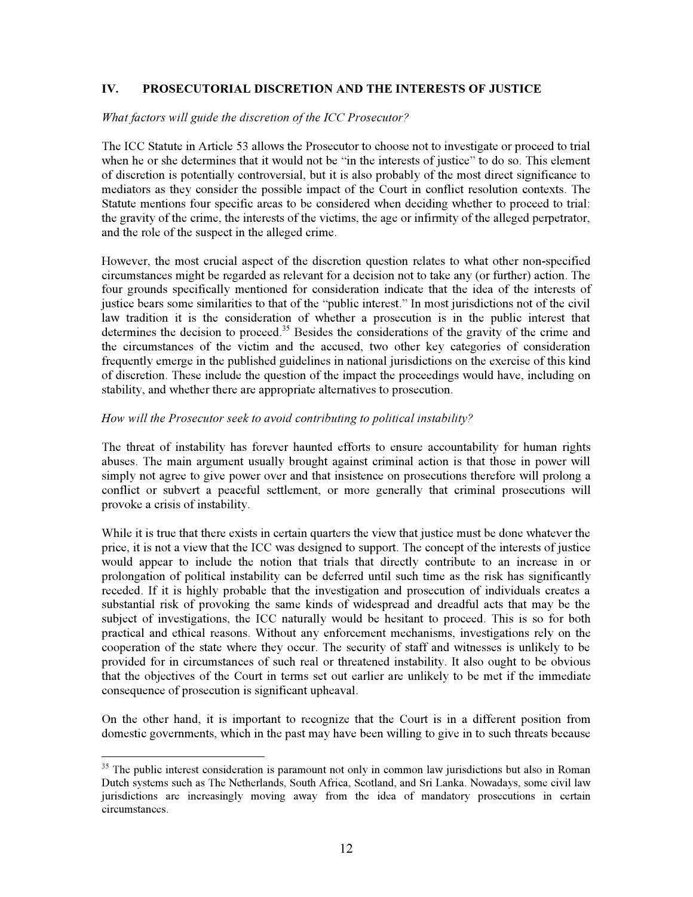# **IV. PROSECUTORIAL DISCRETION AND THE INTERESTS OF JUSTICE**

#### *What factors will guide the discretion of the ICC Prosecutor?*

The ICC Statute in Article 53 allows the Prosecutor to choose not to investigate or proceed to trial when he or she determines that it would not be "in the interests of justice" to do so. This element of discretion is potentially controversial, but it is also probably of the most direct significance to mediators as they consider the possible impact of the Court in conflict resolution contexts. The Statute mentions four specific areas to be considered when deciding whether to proceed to trial: the gravity of the crime, the interests of the victims, the age or infirmity of the alleged perpetrator, and the role of the suspect in the alleged crime.

However, the most crucial aspect of the discretion question relates to what other non-specified circumstances might be regarded as relevant for a decision not to take any (or further) action. The four grounds specifically mentioned for consideration indicate that the idea of the interests of justice bears some similarities to that of the "public interest." In most jurisdictions not of the civil law tradition it is the consideration of whether a prosecution is in the public interest that determines the decision to proceed.<sup>35</sup> Besides the considerations of the gravity of the crime and the circumstances of the victim and the accused, two other key categories of consideration frequently emerge in the published guidelines in national jurisdictions on the exercise of this kind of discretion. These include the question of the impact the proceedings would have, including on stability, and whether there are appropriate alternatives to prosecution.

#### *How will the Prosecutor seek to avoid contributing to political instability?*

The threat of instability has forever haunted efforts to ensure accountability for human rights abuses. The main argument usually brought against criminal action is that those in power will simply not agree to give power over and that insistence on prosecutions therefore will prolong a conflict or subvert a peaceful settlement, or more generally that criminal prosecutions will provoke a crisis of instability.

While it is true that there exists in certain quarters the view that justice must be done whatever the price, it is not a view that the ICC was designed to support. The concept of the interests of justice would appear to include the notion that trials that directly contribute to an increase in or prolongation of political instability can be deferred until such time as the risk has significantly receded. If it is highly probable that the investigation and prosecution of individuals creates a substantial risk of provoking the same kinds of widespread and dreadful acts that may be the subject of investigations, the ICC naturally would be hesitant to proceed. This is so for both practical and ethical reasons. Without any enforcement mechanisms, investigations rely on the cooperation of the state where they occur. The security of staff and witnesses is unlikely to be provided for in circumstances of such real or threatened instability. It also ought to be obvious that the objectives of the Court in terms set out earlier are unlikely to be met if the immediate consequence of prosecution is significant upheaval.

On the other hand, it is important to recognize that the Court is in a different position from domestic governments, which in the past may have been willing to give in to such threats because

<sup>&</sup>lt;sup>35</sup> The public interest consideration is paramount not only in common law jurisdictions but also in Roman Dutch systems such as The Netherlands, South Africa, Scotland, and Sri Lanka. Nowadays, some civil law jurisdictions are increasingly moving away from the idea of mandatory prosecutions in certain circumstances.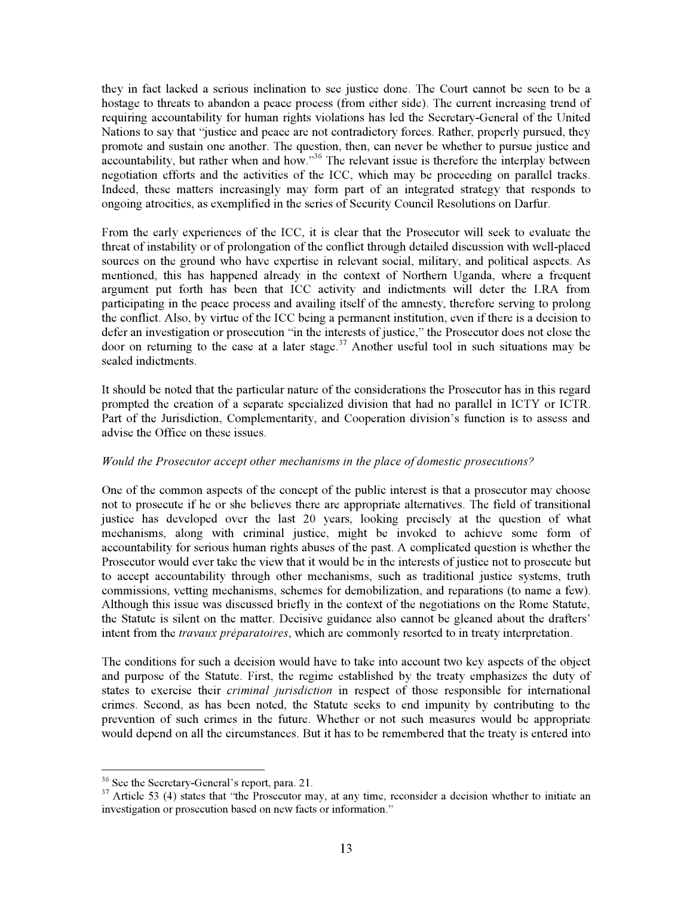they in fact lacked a serious inclination to see justice done. The Court cannot be seen to be a hostage to threats to abandon a peace process (from either side). The current increasing trend of requiring accountability for human rights violations has led the Secretary-General of the United Nations to say that "justice and peace are not contradictory forces. Rather, properly pursued, they promote and sustain one another. The question, then, can never be whether to pursue justice and accountability, but rather when and how."<sup>36</sup> The relevant issue is therefore the interplay between negotiation efforts and the activities of the ICC, which may be proceeding on parallel tracks. Indeed, these matters increasingly may form part of an integrated strategy that responds to ongoing atrocities, as exemplified in the series of Security Council Resolutions on Darfur.

From the early experiences of the ICC, it is clear that the Prosecutor will seek to evaluate the threat of instability or of prolongation of the conflict through detailed discussion with well-placed sources on the ground who have expertise in relevant social, military, and political aspects. As mentioned, this has happened already in the context of Northern Uganda, where a frequent argument put forth has been that ICC activity and indictments will deter the LRA from participating in the peace process and availing itself of the amnesty, therefore serving to prolong the conflict. Also, by virtue of the ICC being a permanent institution, even if there is a decision to defer an investigation or prosecution "in the interests of justice," the Prosecutor does not close the door on returning to the case at a later stage.<sup>37</sup> Another useful tool in such situations may be sealed indictments.

It should be noted that the particular nature of the considerations the Prosecutor has in this regard prompted the creation of a separate specialized division that had no parallel in ICTY or ICTR. Part of the Jurisdiction, Complementarity, and Cooperation division's function is to assess and advise the Office on these issues.

# *Would the Prosecutor accept other mechanisms in the place of domestic prosecutions?*

One of the common aspects of the concept of the public interest is that a prosecutor may choose not to prosecute if he or she believes there are appropriate alternatives. The field of transitional justice has developed over the last 20 years, looking precisely at the question of what mechanisms, along with criminal justice, might be invoked to achieve some form of accountability for serious human rights abuses of the past. A complicated question is whether the Prosecutor would ever take the view that it would be in the interests of justice not to prosecute but to accept accountability through other mechanisms, such as traditional justice systems, truth commissions, vetting mechanisms, schemes for demobilization, and reparations (to name a few). Although this issue was discussed briefly in the context of the negotiations on the Rome Statute, the Statute is silent on the matter. Decisive guidance also cannot be gleaned about the drafters' intent from the *travaux préparatoires*, which are commonly resorted to in treaty interpretation.

The conditions for such a decision would have to take into account two key aspects of the object and purpose of the Statute. First, the regime established by the treaty emphasizes the duty of states to exercise their *criminal jurisdiction* in respect of those responsible for international crimes. Second, as has been noted, the Statute seeks to end impunity by contributing to the prevention of such crimes in the future. Whether or not such measures would be appropriate would depend on all the circumstances. But it has to be remembered that the treaty is entered into

<sup>36</sup> See the Secretary-General's report, para. 21.

<sup>&</sup>lt;sup>37</sup> Article 53 (4) states that "the Prosecutor may, at any time, reconsider a decision whether to initiate an investigation or prosecution based on new facts or information."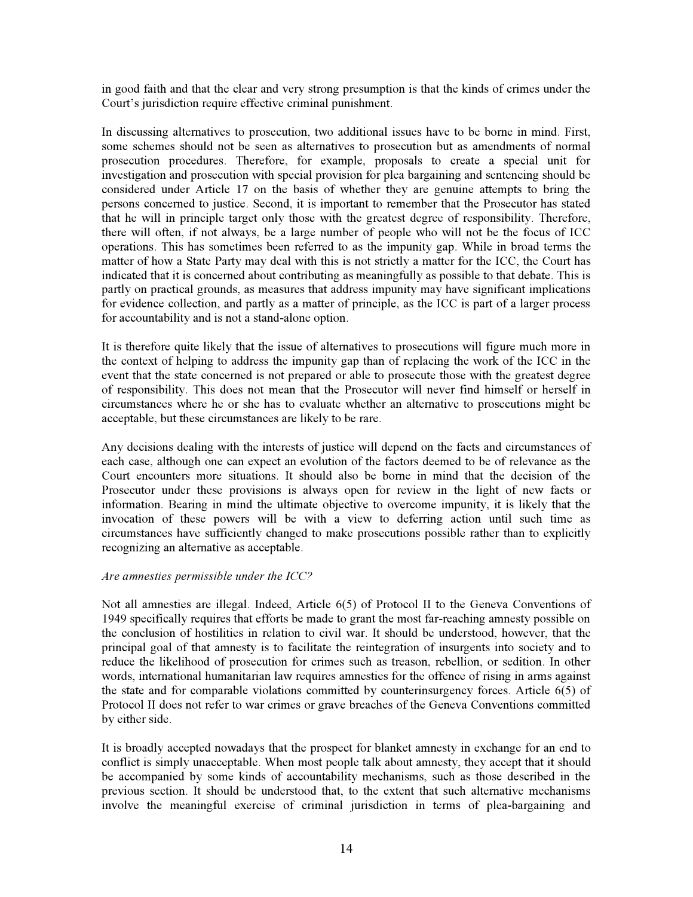in good faith and that the clear and very strong presumption is that the kinds of crimes under the Court's jurisdiction require effective criminal punishment.

In discussing alternatives to prosecution, two additional issues have to be borne in mind. First, some schemes should not be seen as alternatives to prosecution but as amendments of normal prosecution procedures. Therefore, for example, proposals to create a special unit for investigation and prosecution with special provision for plea bargaining and sentencing should be considered under Article 17 on the basis of whether they are genuine attempts to bring the persons concerned to justice. Second, it is important to remember that the Prosecutor has stated that he will in principle target only those with the greatest degree of responsibility. Therefore, there will often, if not always, be a large number of people who will not be the focus of ICC operations. This has sometimes been referred to as the impunity gap. While in broad terms the matter of how a State Party may deal with this is not strictly a matter for the ICC, the Court has indicated that it is concerned about contributing as meaningfully as possible to that debate. This is partly on practical grounds, as measures that address impunity may have significant implications for evidence collection, and partly as a matter of principle, as the ICC is part of a larger process for accountability and is not a stand-alone option.

It is therefore quite likely that the issue of alternatives to prosecutions will figure much more in the context of helping to address the impunity gap than of replacing the work of the ICC in the event that the state concerned is not prepared or able to prosecute those with the greatest degree of responsibility. This does not mean that the Prosecutor will never find himself or herself in circumstances where he or she has to evaluate whether an alternative to prosecutions might be acceptable, but these circumstances are likely to be rare.

Any decisions dealing with the interests of justice will depend on the facts and circumstances of each case, although one can expect an evolution of the factors deemed to be of relevance as the Court encounters more situations. It should also be borne in mind that the decision of the Prosecutor under these provisions is always open for review in the light of new facts or information. Bearing in mind the ultimate objective to overcome impunity, it is likely that the invocation of these powers will be with a view to deferring action until such time as circumstances have sufficiently changed to make prosecutions possible rather than to explicitly recognizing an alternative as acceptable.

#### *Are amnesties permissible under the ICC?*

Not all amnesties are illegal. Indeed, Article 6(5) of Protocol II to the Geneva Conventions of 1949 specifically requires that efforts be made to grant the most far-reaching amnesty possible on the conclusion of hostilities in relation to civil war. It should be understood, however, that the principal goal of that amnesty is to facilitate the reintegration of insurgents into society and to reduce the likelihood of prosecution for crimes such as treason, rebellion, or sedition. In other words, international humanitarian law requires amnesties for the offence of rising in arms against the state and for comparable violations committed by counterinsurgency forces. Article 6(5) of Protocol II does not refer to war crimes or grave breaches of the Geneva Conventions committed by either side.

It is broadly accepted nowadays that the prospect for blanket amnesty in exchange for an end to conflict is simply unacceptable. When most people talk about amnesty, they accept that it should be accompanied by some kinds of accountability mechanisms, such as those described in the previous section. It should be understood that, to the extent that such alternative mechanisms involve the meaningful exercise of criminal jurisdiction in terms of plea-bargaining and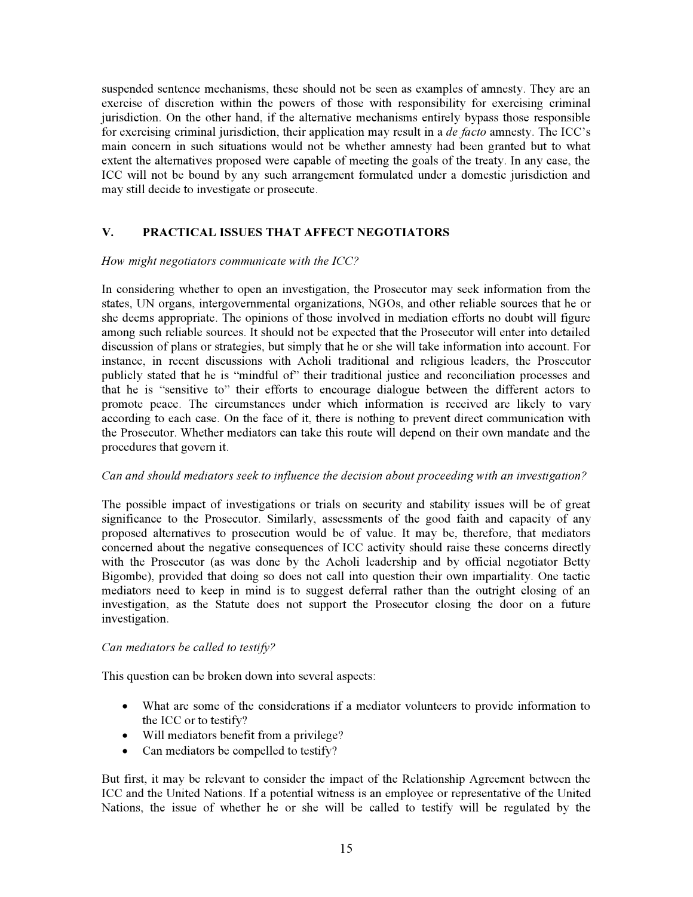suspended sentence mechanisms, these should not be seen as examples of amnesty. They are an exercise of discretion within the powers of those with responsibility for exercising criminal jurisdiction. On the other hand, if the alternative mechanisms entirely bypass those responsible for exercising criminal jurisdiction, their application may result in a *de facto* amnesty. The ICC's main concern in such situations would not be whether amnesty had been granted but to what extent the alternatives proposed were capable of meeting the goals of the treaty. In any case, the ICC will not be bound by any such arrangement formulated under a domestic jurisdiction and may still decide to investigate or prosecute.

# **V. PRACTICAL ISSUES THAT AFFECT NEGOTIATORS**

#### *How might negotiators communicate with the ICC?*

In considering whether to open an investigation, the Prosecutor may seek information from the states, UN organs, intergovernmental organizations, NGOs, and other reliable sources that he or she deems appropriate. The opinions of those involved in mediation efforts no doubt will figure among such reliable sources. It should not be expected that the Prosecutor will enter into detailed discussion of plans or strategies, but simply that he or she will take information into account. For instance, in recent discussions with Acholi traditional and religious leaders, the Prosecutor publicly stated that he is "mindful of" their traditional justice and reconciliation processes and that he is "sensitive to" their efforts to encourage dialogue between the different actors to promote peace. The circumstances under which information is received are likely to vary according to each case. On the face of it, there is nothing to prevent direct communication with the Prosecutor. Whether mediators can take this route will depend on their own mandate and the procedures that govern it.

# *Can and should mediators seek to influence the decision about proceeding with an investigation?*

The possible impact of investigations or trials on security and stability issues will be of great significance to the Prosecutor. Similarly, assessments of the good faith and capacity of any proposed alternatives to prosecution would be of value. It may be, therefore, that mediators concerned about the negative consequences of ICC activity should raise these concerns directly with the Prosecutor (as was done by the Acholi leadership and by official negotiator Betty Bigombe), provided that doing so does not call into question their own impartiality. One tactic mediators need to keep in mind is to suggest deferral rather than the outright closing of an investigation, as the Statute does not support the Prosecutor closing the door on a future investigation.

# *Can mediators be called to testify?*

This question can be broken down into several aspects:

- What are some of the considerations if a mediator volunteers to provide information to the ICC or to testify?
- Will mediators benefit from a privilege?
- Can mediators be compelled to testify?

But first, it may be relevant to consider the impact of the Relationship Agreement between the ICC and the United Nations. If a potential witness is an employee or representative of the United Nations, the issue of whether he or she will be called to testify will be regulated by the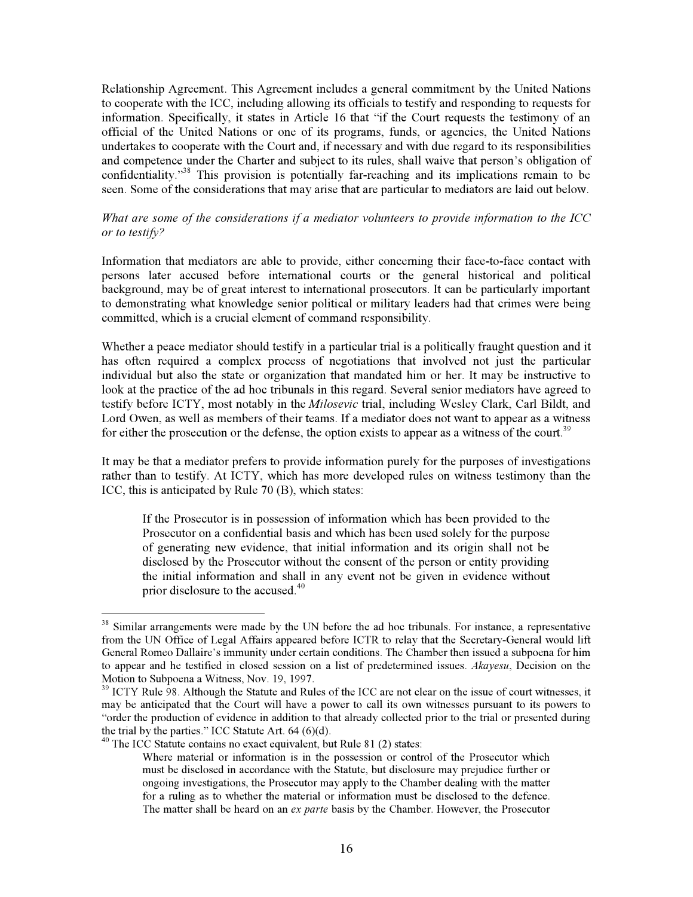Relationship Agreement. This Agreement includes a general commitment by the United Nations to cooperate with the ICC, including allowing its officials to testify and responding to requests for information. Specifically, it states in Article 16 that "if the Court requests the testimony of an official of the United Nations or one of its programs, funds, or agencies, the United Nations undertakes to cooperate with the Court and, if necessary and with due regard to its responsibilities and competence under the Charter and subject to its rules, shall waive that person's obligation of confidentiality."<sup>38</sup> This provision is potentially far-reaching and its implications remain to be seen. Some of the considerations that may arise that are particular to mediators are laid out below.

#### *What are some of the considerations if a mediator volunteers to provide information to the ICC or to testify?*

Information that mediators are able to provide, either concerning their face-to-face contact with persons later accused before international courts or the general historical and political background, may be of great interest to international prosecutors. It can be particularly important to demonstrating what knowledge senior political or military leaders had that crimes were being committed, which is a crucial element of command responsibility.

Whether a peace mediator should testify in a particular trial is a politically fraught question and it has often required a complex process of negotiations that involved not just the particular individual but also the state or organization that mandated him or her. It may be instructive to look at the practice of the ad hoc tribunals in this regard. Several senior mediators have agreed to testify before ICTY, most notably in the *Milosevic* trial, including Wesley Clark, Carl Bildt, and Lord Owen, as well as members of their teams. If a mediator does not want to appear as a witness for either the prosecution or the defense, the option exists to appear as a witness of the court.<sup>39</sup>

It may be that a mediator prefers to provide information purely for the purposes of investigations rather than to testify. At ICTY, which has more developed rules on witness testimony than the ICC, this is anticipated by Rule 70 (B), which states:

If the Prosecutor is in possession of information which has been provided to the Prosecutor on a confidential basis and which has been used solely for the purpose of generating new evidence, that initial information and its origin shall not be disclosed by the Prosecutor without the consent of the person or entity providing the initial information and shall in any event not be given in evidence without prior disclosure to the accused.<sup>40</sup>

<sup>&</sup>lt;sup>38</sup> Similar arrangements were made by the UN before the ad hoc tribunals. For instance, a representative from the UN Office of Legal Affairs appeared before ICTR to relay that the Secretary-General would lift General Romeo Dallaire's immunity under certain conditions. The Chamber then issued a subpoena for him to appear and he testified in closed session on a list of predetermined issues. *Akayesu*, Decision on the Motion to Subpoena a Witness, Nov. 19, 1997.

<sup>&</sup>lt;sup>39</sup> ICTY Rule 98. Although the Statute and Rules of the ICC are not clear on the issue of court witnesses, it may be anticipated that the Court will have a power to call its own witnesses pursuant to its powers to "order the production of evidence in addition to that already collected prior to the trial or presented during the trial by the parties." ICC Statute Art.  $64 (6)(d)$ .

 $40$  The ICC Statute contains no exact equivalent, but Rule 81 (2) states:

Where material or information is in the possession or control of the Prosecutor which must be disclosed in accordance with the Statute, but disclosure may prejudice further or ongoing investigations, the Prosecutor may apply to the Chamber dealing with the matter for a ruling as to whether the material or information must be disclosed to the defence. The matter shall be heard on an *ex parte* basis by the Chamber. However, the Prosecutor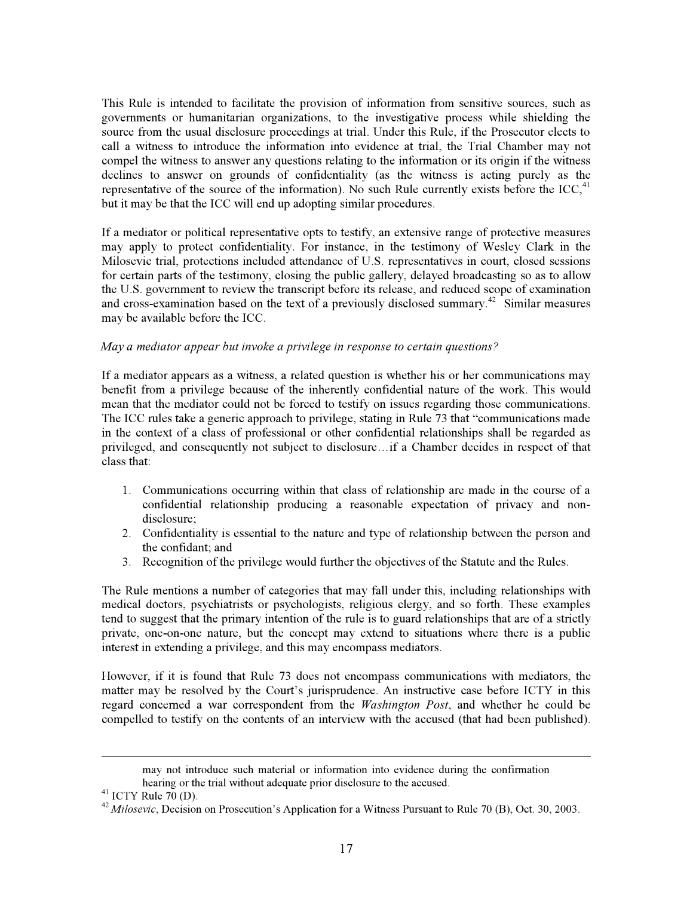This Rule is intended to facilitate the provision of information from sensitive sources, such as governments or humanitarian organizations, to the investigative process while shielding the source from the usual disclosure proceedings at trial. Under this Rule, if the Prosecutor elects to call a witness to introduce the information into evidence at trial, the Trial Chamber may not compel the witness to answer any questions relating to the information or its origin if the witness declines to answer on grounds of confidentiality (as the witness is acting purely as the representative of the source of the information). No such Rule currently exists before the  $ICC<sub>1</sub><sup>41</sup>$ but it may be that the ICC will end up adopting similar procedures.

If a mediator or political representative opts to testify, an extensive range of protective measures may apply to protect confidentiality. For instance, in the testimony of Wesley Clark in the Milosevic trial, protections included attendance of U.S. representatives in court, closed sessions for certain parts of the testimony, closing the public gallery, delayed broadcasting so as to allow the U.S. government to review the transcript before its release, and reduced scope of examination and cross-examination based on the text of a previously disclosed summary.<sup>42</sup> Similar measures may be available before the ICC.

#### *May a mediator appear but invoke a privilege in response to certain questions?*

If a mediator appears as a witness, a related question is whether his or her communications may benefit from a privilege because of the inherently confidential nature of the work. This would mean that the mediator could not be forced to testify on issues regarding those communications. The ICC rules take a generic approach to privilege, stating in Rule 73 that "communications made in the context of a class of professional or other confidential relationships shall be regarded as privileged, and consequently not subject to disclosure…if a Chamber decides in respect of that class that:

- 1. Communications occurring within that class of relationship are made in the course of a confidential relationship producing a reasonable expectation of privacy and nondisclosure;
- 2. Confidentiality is essential to the nature and type of relationship between the person and the confidant; and
- 3. Recognition of the privilege would further the objectives of the Statute and the Rules.

The Rule mentions a number of categories that may fall under this, including relationships with medical doctors, psychiatrists or psychologists, religious clergy, and so forth. These examples tend to suggest that the primary intention of the rule is to guard relationships that are of a strictly private, one-on-one nature, but the concept may extend to situations where there is a public interest in extending a privilege, and this may encompass mediators.

However, if it is found that Rule 73 does not encompass communications with mediators, the matter may be resolved by the Court's jurisprudence. An instructive case before ICTY in this regard concerned a war correspondent from the *Washington Post*, and whether he could be compelled to testify on the contents of an interview with the accused (that had been published).

may not introduce such material or information into evidence during the confirmation hearing or the trial without adequate prior disclosure to the accused.<br><sup>41</sup> ICTY Rule 70 (D).

<sup>&</sup>lt;sup>42</sup> *Milosevic*, Decision on Prosecution's Application for a Witness Pursuant to Rule 70 (B), Oct. 30, 2003.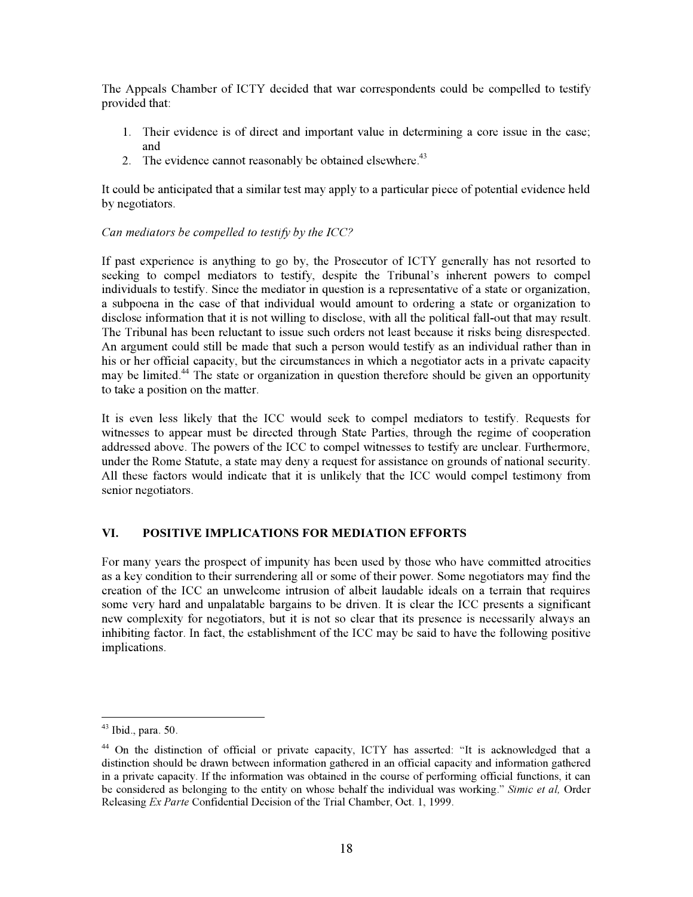The Appeals Chamber of ICTY decided that war correspondents could be compelled to testify provided that:

- 1. Their evidence is of direct and important value in determining a core issue in the case; and
- 2. The evidence cannot reasonably be obtained elsewhere.<sup>43</sup>

It could be anticipated that a similar test may apply to a particular piece of potential evidence held by negotiators.

# *Can mediators be compelled to testify by the ICC?*

If past experience is anything to go by, the Prosecutor of ICTY generally has not resorted to seeking to compel mediators to testify, despite the Tribunal's inherent powers to compel individuals to testify. Since the mediator in question is a representative of a state or organization, a subpoena in the case of that individual would amount to ordering a state or organization to disclose information that it is not willing to disclose, with all the political fall-out that may result. The Tribunal has been reluctant to issue such orders not least because it risks being disrespected. An argument could still be made that such a person would testify as an individual rather than in his or her official capacity, but the circumstances in which a negotiator acts in a private capacity may be limited.<sup>44</sup> The state or organization in question therefore should be given an opportunity to take a position on the matter.

It is even less likely that the ICC would seek to compel mediators to testify. Requests for witnesses to appear must be directed through State Parties, through the regime of cooperation addressed above. The powers of the ICC to compel witnesses to testify are unclear. Furthermore, under the Rome Statute, a state may deny a request for assistance on grounds of national security. All these factors would indicate that it is unlikely that the ICC would compel testimony from senior negotiators.

# **VI. POSITIVE IMPLICATIONS FOR MEDIATION EFFORTS**

For many years the prospect of impunity has been used by those who have committed atrocities as a key condition to their surrendering all or some of their power. Some negotiators may find the creation of the ICC an unwelcome intrusion of albeit laudable ideals on a terrain that requires some very hard and unpalatable bargains to be driven. It is clear the ICC presents a significant new complexity for negotiators, but it is not so clear that its presence is necessarily always an inhibiting factor. In fact, the establishment of the ICC may be said to have the following positive implications.

<sup>43</sup> Ibid., para. 50.

<sup>44</sup> On the distinction of official or private capacity, ICTY has asserted: "It is acknowledged that a distinction should be drawn between information gathered in an official capacity and information gathered in a private capacity. If the information was obtained in the course of performing official functions, it can be considered as belonging to the entity on whose behalf the individual was working." *Simic et al,* Order Releasing *Ex Parte* Confidential Decision of the Trial Chamber, Oct. 1, 1999.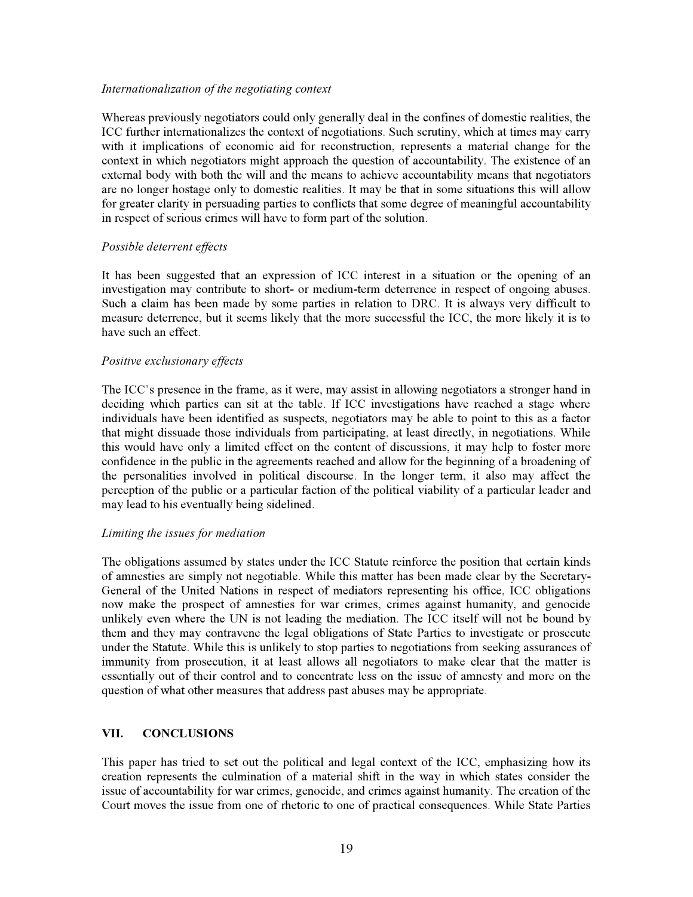#### *Internationalization of the negotiating context*

Whereas previously negotiators could only generally deal in the confines of domestic realities, the ICC further internationalizes the context of negotiations. Such scrutiny, which at times may carry with it implications of economic aid for reconstruction, represents a material change for the context in which negotiators might approach the question of accountability. The existence of an external body with both the will and the means to achieve accountability means that negotiators are no longer hostage only to domestic realities. It may be that in some situations this will allow for greater clarity in persuading parties to conflicts that some degree of meaningful accountability in respect of serious crimes will have to form part of the solution.

#### *Possible deterrent effects*

It has been suggested that an expression of ICC interest in a situation or the opening of an investigation may contribute to short- or medium-term deterrence in respect of ongoing abuses. Such a claim has been made by some parties in relation to DRC. It is always very difficult to measure deterrence, but it seems likely that the more successful the ICC, the more likely it is to have such an effect.

#### *Positive exclusionary effects*

The ICC's presence in the frame, as it were, may assist in allowing negotiators a stronger hand in deciding which parties can sit at the table. If ICC investigations have reached a stage where individuals have been identified as suspects, negotiators may be able to point to this as a factor that might dissuade those individuals from participating, at least directly, in negotiations. While this would have only a limited effect on the content of discussions, it may help to foster more confidence in the public in the agreements reached and allow for the beginning of a broadening of the personalities involved in political discourse. In the longer term, it also may affect the perception of the public or a particular faction of the political viability of a particular leader and may lead to his eventually being sidelined.

#### *Limiting the issues for mediation*

The obligations assumed by states under the ICC Statute reinforce the position that certain kinds of amnesties are simply not negotiable. While this matter has been made clear by the Secretary-General of the United Nations in respect of mediators representing his office, ICC obligations now make the prospect of amnesties for war crimes, crimes against humanity, and genocide unlikely even where the UN is not leading the mediation. The ICC itself will not be bound by them and they may contravene the legal obligations of State Parties to investigate or prosecute under the Statute. While this is unlikely to stop parties to negotiations from seeking assurances of immunity from prosecution, it at least allows all negotiators to make clear that the matter is essentially out of their control and to concentrate less on the issue of amnesty and more on the question of what other measures that address past abuses may be appropriate.

# **VII. CONCLUSIONS**

This paper has tried to set out the political and legal context of the ICC, emphasizing how its creation represents the culmination of a material shift in the way in which states consider the issue of accountability for war crimes, genocide, and crimes against humanity. The creation of the Court moves the issue from one of rhetoric to one of practical consequences. While State Parties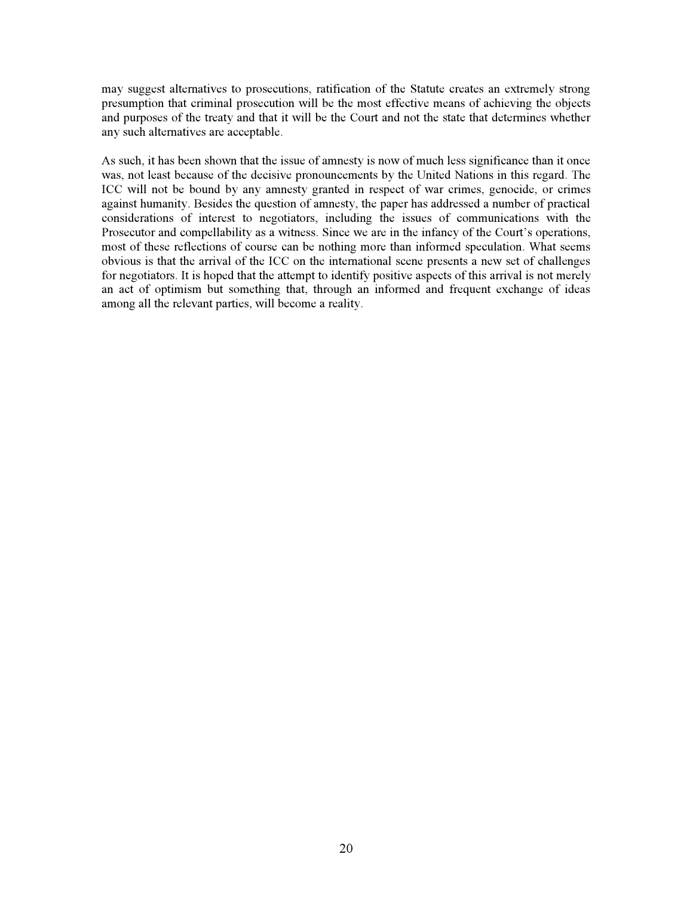may suggest alternatives to prosecutions, ratification of the Statute creates an extremely strong presumption that criminal prosecution will be the most effective means of achieving the objects and purposes of the treaty and that it will be the Court and not the state that determines whether any such alternatives are acceptable.

As such, it has been shown that the issue of amnesty is now of much less significance than it once was, not least because of the decisive pronouncements by the United Nations in this regard. The ICC will not be bound by any amnesty granted in respect of war crimes, genocide, or crimes against humanity. Besides the question of amnesty, the paper has addressed a number of practical considerations of interest to negotiators, including the issues of communications with the Prosecutor and compellability as a witness. Since we are in the infancy of the Court's operations, most of these reflections of course can be nothing more than informed speculation. What seems obvious is that the arrival of the ICC on the international scene presents a new set of challenges for negotiators. It is hoped that the attempt to identify positive aspects of this arrival is not merely an act of optimism but something that, through an informed and frequent exchange of ideas among all the relevant parties, will become a reality.